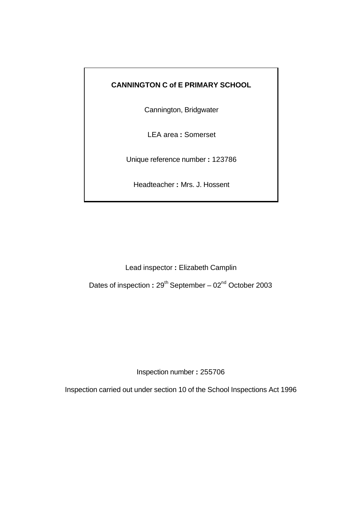## **CANNINGTON C of E PRIMARY SCHOOL**

Cannington, Bridgwater

LEA area **:** Somerset

Unique reference number **:** 123786

Headteacher **:** Mrs. J. Hossent

Lead inspector **:** Elizabeth Camplin

Dates of inspection : 29<sup>th</sup> September – 02<sup>nd</sup> October 2003

Inspection number **:** 255706

Inspection carried out under section 10 of the School Inspections Act 1996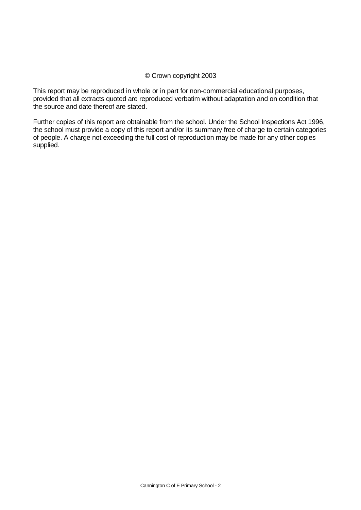#### © Crown copyright 2003

This report may be reproduced in whole or in part for non-commercial educational purposes, provided that all extracts quoted are reproduced verbatim without adaptation and on condition that the source and date thereof are stated.

Further copies of this report are obtainable from the school. Under the School Inspections Act 1996, the school must provide a copy of this report and/or its summary free of charge to certain categories of people. A charge not exceeding the full cost of reproduction may be made for any other copies supplied.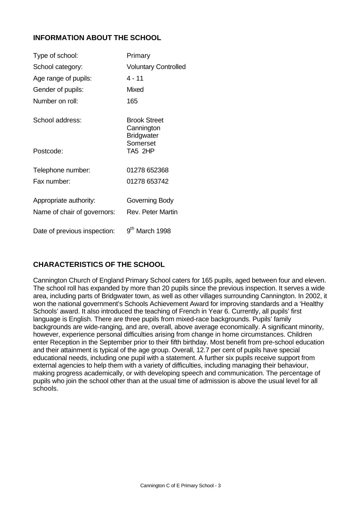## **INFORMATION ABOUT THE SCHOOL**

| Type of school:              | Primary                                                |
|------------------------------|--------------------------------------------------------|
| School category:             | <b>Voluntary Controlled</b>                            |
| Age range of pupils:         | $4 - 11$                                               |
| Gender of pupils:            | Mixed                                                  |
| Number on roll:              | 165                                                    |
| School address:              | <b>Brook Street</b><br>Cannington<br><b>Bridgwater</b> |
| Postcode:                    | Somerset<br>TA5 2HP                                    |
| Telephone number:            | 01278 652368                                           |
| Fax number:                  | 01278 653742                                           |
| Appropriate authority:       | Governing Body                                         |
| Name of chair of governors:  | Rev. Peter Martin                                      |
| Date of previous inspection: | 9 <sup>th</sup> March 1998                             |

## **CHARACTERISTICS OF THE SCHOOL**

Cannington Church of England Primary School caters for 165 pupils, aged between four and eleven. The school roll has expanded by more than 20 pupils since the previous inspection. It serves a wide area, including parts of Bridgwater town, as well as other villages surrounding Cannington. In 2002, it won the national government's Schools Achievement Award for improving standards and a 'Healthy Schools' award. It also introduced the teaching of French in Year 6. Currently, all pupils' first language is English. There are three pupils from mixed-race backgrounds. Pupils' family backgrounds are wide-ranging, and are, overall, above average economically. A significant minority, however, experience personal difficulties arising from change in home circumstances. Children enter Reception in the September prior to their fifth birthday. Most benefit from pre-school education and their attainment is typical of the age group. Overall, 12.7 per cent of pupils have special educational needs, including one pupil with a statement. A further six pupils receive support from external agencies to help them with a variety of difficulties, including managing their behaviour, making progress academically, or with developing speech and communication. The percentage of pupils who join the school other than at the usual time of admission is above the usual level for all schools.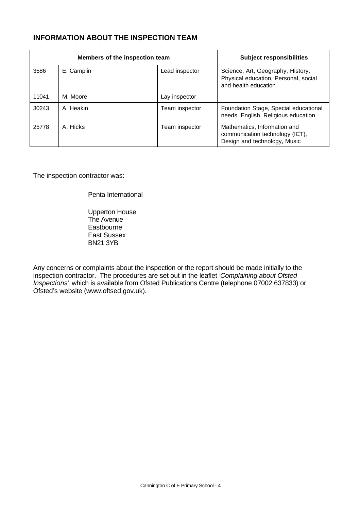## **INFORMATION ABOUT THE INSPECTION TEAM**

| Members of the inspection team |            |                | <b>Subject responsibilities</b>                                                                   |
|--------------------------------|------------|----------------|---------------------------------------------------------------------------------------------------|
| 3586                           | E. Camplin | Lead inspector | Science, Art, Geography, History,<br>Physical education, Personal, social<br>and health education |
| 11041                          | M. Moore   | Lay inspector  |                                                                                                   |
| 30243                          | A. Heakin  | Team inspector | Foundation Stage, Special educational<br>needs, English, Religious education                      |
| 25778                          | A. Hicks   | Team inspector | Mathematics, Information and<br>communication technology (ICT),<br>Design and technology, Music   |

The inspection contractor was:

Penta International

Upperton House The Avenue **Eastbourne** East Sussex BN21 3YB

Any concerns or complaints about the inspection or the report should be made initially to the inspection contractor. The procedures are set out in the leaflet *'Complaining about Ofsted Inspections'*, which is available from Ofsted Publications Centre (telephone 07002 637833) or Ofsted's website (www.oftsed.gov.uk).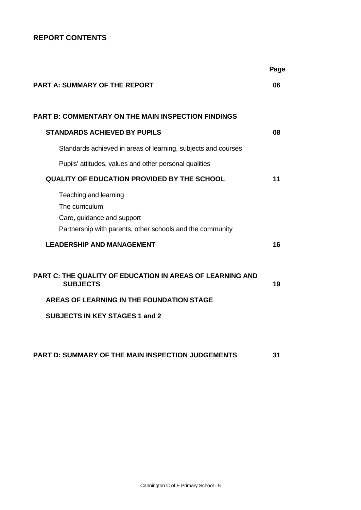## **REPORT CONTENTS**

|                                                                                                                                         | Page |
|-----------------------------------------------------------------------------------------------------------------------------------------|------|
| <b>PART A: SUMMARY OF THE REPORT</b>                                                                                                    | 06   |
| <b>PART B: COMMENTARY ON THE MAIN INSPECTION FINDINGS</b>                                                                               |      |
| <b>STANDARDS ACHIEVED BY PUPILS</b>                                                                                                     | 08   |
| Standards achieved in areas of learning, subjects and courses                                                                           |      |
| Pupils' attitudes, values and other personal qualities                                                                                  |      |
| <b>QUALITY OF EDUCATION PROVIDED BY THE SCHOOL</b>                                                                                      | 11   |
| Teaching and learning<br>The curriculum<br>Care, guidance and support<br>Partnership with parents, other schools and the community      |      |
| <b>LEADERSHIP AND MANAGEMENT</b>                                                                                                        | 16   |
| <b>PART C: THE QUALITY OF EDUCATION IN AREAS OF LEARNING AND</b><br><b>SUBJECTS</b><br><b>AREAS OF LEARNING IN THE FOUNDATION STAGE</b> | 19   |
| <b>SUBJECTS IN KEY STAGES 1 and 2</b>                                                                                                   |      |
|                                                                                                                                         |      |
| <b>PART D: SUMMARY OF THE MAIN INSPECTION JUDGEMENTS</b>                                                                                | 31   |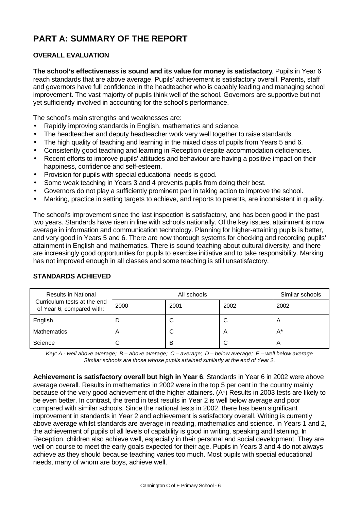# **PART A: SUMMARY OF THE REPORT**

## **OVERALL EVALUATION**

**The school's effectiveness is sound and its value for money is satisfactory**. Pupils in Year 6 reach standards that are above average. Pupils' achievement is satisfactory overall. Parents, staff and governors have full confidence in the headteacher who is capably leading and managing school improvement. The vast majority of pupils think well of the school. Governors are supportive but not yet sufficiently involved in accounting for the school's performance.

The school's main strengths and weaknesses are:

- Rapidly improving standards in English, mathematics and science.
- The headteacher and deputy headteacher work very well together to raise standards.
- The high quality of teaching and learning in the mixed class of pupils from Years 5 and 6.
- Consistently good teaching and learning in Reception despite accommodation deficiencies.
- Recent efforts to improve pupils' attitudes and behaviour are having a positive impact on their happiness, confidence and self-esteem.
- Provision for pupils with special educational needs is good.
- Some weak teaching in Years 3 and 4 prevents pupils from doing their best.
- Governors do not play a sufficiently prominent part in taking action to improve the school.
- Marking, practice in setting targets to achieve, and reports to parents, are inconsistent in quality.

The school's improvement since the last inspection is satisfactory, and has been good in the past two years. Standards have risen in line with schools nationally. Of the key issues, attainment is now average in information and communication technology. Planning for higher-attaining pupils is better, and very good in Years 5 and 6. There are now thorough systems for checking and recording pupils' attainment in English and mathematics. There is sound teaching about cultural diversity, and there are increasingly good opportunities for pupils to exercise initiative and to take responsibility. Marking has not improved enough in all classes and some teaching is still unsatisfactory.

| <b>Results in National</b>                               |                | Similar schools |                |                         |
|----------------------------------------------------------|----------------|-----------------|----------------|-------------------------|
| Curriculum tests at the end<br>of Year 6, compared with: | 2000           | 2001            | 2002           | 2002                    |
| English                                                  |                |                 | ◡              | $\overline{A}$          |
| <b>Mathematics</b>                                       | $\overline{A}$ | С               | $\overline{A}$ | $A^*$                   |
| Science                                                  | C              | B               | ◡              | $\overline{\mathsf{A}}$ |

#### **STANDARDS ACHIEVED**

*Key: A - well above average; B – above average; C – average; D – below average; E – well below average Similar schools are those whose pupils attained similarly at the end of Year 2.*

**Achievement is satisfactory overall but high in Year 6**. Standards in Year 6 in 2002 were above average overall. Results in mathematics in 2002 were in the top 5 per cent in the country mainly because of the very good achievement of the higher attainers. (A\*) Results in 2003 tests are likely to be even better. In contrast, the trend in test results in Year 2 is well below average and poor compared with similar schools. Since the national tests in 2002, there has been significant improvement in standards in Year 2 and achievement is satisfactory overall. Writing is currently above average whilst standards are average in reading, mathematics and science. In Years 1 and 2, the achievement of pupils of all levels of capability is good in writing, speaking and listening. In Reception, children also achieve well, especially in their personal and social development. They are well on course to meet the early goals expected for their age. Pupils in Years 3 and 4 do not always achieve as they should because teaching varies too much. Most pupils with special educational needs, many of whom are boys, achieve well.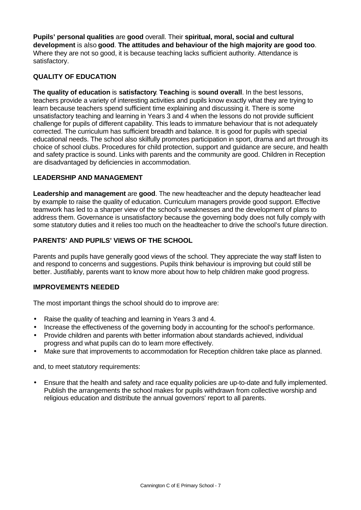**Pupils' personal qualities** are **good** overall. Their **spiritual, moral, social and cultural development** is also **good**. **The attitudes and behaviour of the high majority are good too**. Where they are not so good, it is because teaching lacks sufficient authority. Attendance is satisfactory.

#### **QUALITY OF EDUCATION**

**The quality of education** is **satisfactory**. **Teaching** is **sound overall**. In the best lessons, teachers provide a variety of interesting activities and pupils know exactly what they are trying to learn because teachers spend sufficient time explaining and discussing it. There is some unsatisfactory teaching and learning in Years 3 and 4 when the lessons do not provide sufficient challenge for pupils of different capability. This leads to immature behaviour that is not adequately corrected. The curriculum has sufficient breadth and balance. It is good for pupils with special educational needs. The school also skilfully promotes participation in sport, drama and art through its choice of school clubs. Procedures for child protection, support and guidance are secure, and health and safety practice is sound. Links with parents and the community are good. Children in Reception are disadvantaged by deficiencies in accommodation.

#### **LEADERSHIP AND MANAGEMENT**

**Leadership and management** are **good**. The new headteacher and the deputy headteacher lead by example to raise the quality of education. Curriculum managers provide good support. Effective teamwork has led to a sharper view of the school's weaknesses and the development of plans to address them. Governance is unsatisfactory because the governing body does not fully comply with some statutory duties and it relies too much on the headteacher to drive the school's future direction.

#### **PARENTS' AND PUPILS' VIEWS OF THE SCHOOL**

Parents and pupils have generally good views of the school. They appreciate the way staff listen to and respond to concerns and suggestions. Pupils think behaviour is improving but could still be better. Justifiably, parents want to know more about how to help children make good progress.

#### **IMPROVEMENTS NEEDED**

The most important things the school should do to improve are:

- Raise the quality of teaching and learning in Years 3 and 4.
- Increase the effectiveness of the governing body in accounting for the school's performance.
- Provide children and parents with better information about standards achieved, individual progress and what pupils can do to learn more effectively.
- Make sure that improvements to accommodation for Reception children take place as planned.

and, to meet statutory requirements:

• Ensure that the health and safety and race equality policies are up-to-date and fully implemented. Publish the arrangements the school makes for pupils withdrawn from collective worship and religious education and distribute the annual governors' report to all parents.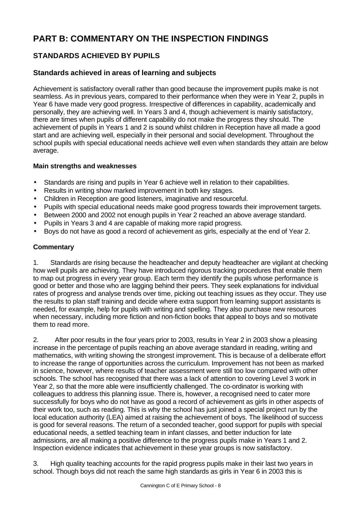# **PART B: COMMENTARY ON THE INSPECTION FINDINGS**

## **STANDARDS ACHIEVED BY PUPILS**

## **Standards achieved in areas of learning and subjects**

Achievement is satisfactory overall rather than good because the improvement pupils make is not seamless. As in previous years, compared to their performance when they were in Year 2, pupils in Year 6 have made very good progress. Irrespective of differences in capability, academically and personally, they are achieving well. In Years 3 and 4, though achievement is mainly satisfactory, there are times when pupils of different capability do not make the progress they should. The achievement of pupils in Years 1 and 2 is sound whilst children in Reception have all made a good start and are achieving well, especially in their personal and social development. Throughout the school pupils with special educational needs achieve well even when standards they attain are below average.

#### **Main strengths and weaknesses**

- Standards are rising and pupils in Year 6 achieve well in relation to their capabilities.
- Results in writing show marked improvement in both key stages.
- Children in Reception are good listeners, imaginative and resourceful.
- Pupils with special educational needs make good progress towards their improvement targets.
- Between 2000 and 2002 not enough pupils in Year 2 reached an above average standard.
- Pupils in Years 3 and 4 are capable of making more rapid progress.
- Boys do not have as good a record of achievement as girls, especially at the end of Year 2.

#### **Commentary**

1. Standards are rising because the headteacher and deputy headteacher are vigilant at checking how well pupils are achieving. They have introduced rigorous tracking procedures that enable them to map out progress in every year group. Each term they identify the pupils whose performance is good or better and those who are lagging behind their peers. They seek explanations for individual rates of progress and analyse trends over time, picking out teaching issues as they occur. They use the results to plan staff training and decide where extra support from learning support assistants is needed, for example, help for pupils with writing and spelling. They also purchase new resources when necessary, including more fiction and non-fiction books that appeal to boys and so motivate them to read more.

2. After poor results in the four years prior to 2003, results in Year 2 in 2003 show a pleasing increase in the percentage of pupils reaching an above average standard in reading, writing and mathematics, with writing showing the strongest improvement. This is because of a deliberate effort to increase the range of opportunities across the curriculum. Improvement has not been as marked in science, however, where results of teacher assessment were still too low compared with other schools. The school has recognised that there was a lack of attention to covering Level 3 work in Year 2, so that the more able were insufficiently challenged. The co-ordinator is working with colleagues to address this planning issue. There is, however, a recognised need to cater more successfully for boys who do not have as good a record of achievement as girls in other aspects of their work too, such as reading. This is why the school has just joined a special project run by the local education authority (LEA) aimed at raising the achievement of boys. The likelihood of success is good for several reasons. The return of a seconded teacher, good support for pupils with special educational needs, a settled teaching team in infant classes, and better induction for late admissions, are all making a positive difference to the progress pupils make in Years 1 and 2. Inspection evidence indicates that achievement in these year groups is now satisfactory.

3. High quality teaching accounts for the rapid progress pupils make in their last two years in school. Though boys did not reach the same high standards as girls in Year 6 in 2003 this is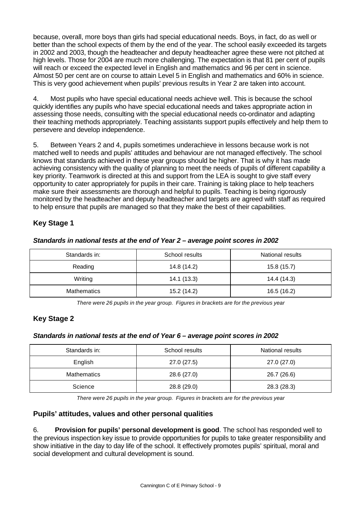because, overall, more boys than girls had special educational needs. Boys, in fact, do as well or better than the school expects of them by the end of the year. The school easily exceeded its targets in 2002 and 2003, though the headteacher and deputy headteacher agree these were not pitched at high levels. Those for 2004 are much more challenging. The expectation is that 81 per cent of pupils will reach or exceed the expected level in English and mathematics and 96 per cent in science. Almost 50 per cent are on course to attain Level 5 in English and mathematics and 60% in science. This is very good achievement when pupils' previous results in Year 2 are taken into account.

4. Most pupils who have special educational needs achieve well. This is because the school quickly identifies any pupils who have special educational needs and takes appropriate action in assessing those needs, consulting with the special educational needs co-ordinator and adapting their teaching methods appropriately. Teaching assistants support pupils effectively and help them to persevere and develop independence.

5. Between Years 2 and 4, pupils sometimes underachieve in lessons because work is not matched well to needs and pupils' attitudes and behaviour are not managed effectively. The school knows that standards achieved in these year groups should be higher. That is why it has made achieving consistency with the quality of planning to meet the needs of pupils of different capability a key priority. Teamwork is directed at this and support from the LEA is sought to give staff every opportunity to cater appropriately for pupils in their care. Training is taking place to help teachers make sure their assessments are thorough and helpful to pupils. Teaching is being rigorously monitored by the headteacher and deputy headteacher and targets are agreed with staff as required to help ensure that pupils are managed so that they make the best of their capabilities.

## **Key Stage 1**

|  | Standards in national tests at the end of Year 2 - average point scores in 2002 |
|--|---------------------------------------------------------------------------------|

| Standards in:      | School results | National results |
|--------------------|----------------|------------------|
| Reading            | 14.8 (14.2)    | 15.8 (15.7)      |
| Writing            | 14.1(13.3)     | 14.4 (14.3)      |
| <b>Mathematics</b> | 15.2 (14.2)    | 16.5 (16.2)      |

*There were 26 pupils in the year group. Figures in brackets are for the previous year*

#### **Key Stage 2**

#### *Standards in national tests at the end of Year 6 – average point scores in 2002*

| Standards in:      | School results | National results |
|--------------------|----------------|------------------|
| English            | 27.0(27.5)     | 27.0 (27.0)      |
| <b>Mathematics</b> | 28.6 (27.0)    | 26.7 (26.6)      |
| Science            | 28.8 (29.0)    | 28.3 (28.3)      |

*There were 26 pupils in the year group. Figures in brackets are for the previous year*

#### **Pupils' attitudes, values and other personal qualities**

6. **Provision for pupils' personal development is good**. The school has responded well to the previous inspection key issue to provide opportunities for pupils to take greater responsibility and show initiative in the day to day life of the school. It effectively promotes pupils' spiritual, moral and social development and cultural development is sound.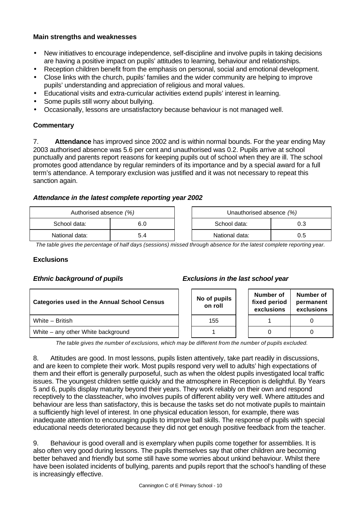#### **Main strengths and weaknesses**

- New initiatives to encourage independence, self-discipline and involve pupils in taking decisions are having a positive impact on pupils' attitudes to learning, behaviour and relationships.
- Reception children benefit from the emphasis on personal, social and emotional development.
- Close links with the church, pupils' families and the wider community are helping to improve pupils' understanding and appreciation of religious and moral values.
- Educational visits and extra-curricular activities extend pupils' interest in learning.
- Some pupils still worry about bullying.
- Occasionally, lessons are unsatisfactory because behaviour is not managed well.

#### **Commentary**

7. **Attendance** has improved since 2002 and is within normal bounds. For the year ending May 2003 authorised absence was 5.6 per cent and unauthorised was 0.2. Pupils arrive at school punctually and parents report reasons for keeping pupils out of school when they are ill. The school promotes good attendance by regular reminders of its importance and by a special award for a full term's attendance. A temporary exclusion was justified and it was not necessary to repeat this sanction again.

#### *Attendance in the latest complete reporting year 2002*

| Authorised absence (%) |  |  | Unauthorised absence (%) |     |
|------------------------|--|--|--------------------------|-----|
| School data:           |  |  | School data:             |     |
| National data:         |  |  | National data:           | 0.5 |

*The table gives the percentage of half days (sessions) missed through absence for the latest complete reporting year.*

#### **Exclusions**

| <b>Categories used in the Annual School Census</b> |  | No of pupils<br>on roll |  | Number of<br>fixed period<br>exclusions | Numb<br>perma<br>exclus |  |
|----------------------------------------------------|--|-------------------------|--|-----------------------------------------|-------------------------|--|
| White - British                                    |  | 155                     |  |                                         |                         |  |
| White – any other White background                 |  |                         |  |                                         | 0                       |  |

#### *Ethnic background of pupils Exclusions in the last school year*

| No of pupils<br>on roll | Number of<br>fixed period<br>exclusions | Number of<br>permanent<br>exclusions |
|-------------------------|-----------------------------------------|--------------------------------------|
| 155                     |                                         |                                      |
|                         |                                         |                                      |

*The table gives the number of exclusions, which may be different from the number of pupils excluded.*

8. Attitudes are good. In most lessons, pupils listen attentively, take part readily in discussions, and are keen to complete their work. Most pupils respond very well to adults' high expectations of them and their effort is generally purposeful, such as when the oldest pupils investigated local traffic issues. The youngest children settle quickly and the atmosphere in Reception is delightful. By Years 5 and 6, pupils display maturity beyond their years. They work reliably on their own and respond receptively to the classteacher, who involves pupils of different ability very well. Where attitudes and behaviour are less than satisfactory, this is because the tasks set do not motivate pupils to maintain a sufficiently high level of interest. In one physical education lesson, for example, there was inadequate attention to encouraging pupils to improve ball skills. The response of pupils with special educational needs deteriorated because they did not get enough positive feedback from the teacher.

9. Behaviour is good overall and is exemplary when pupils come together for assemblies. It is also often very good during lessons. The pupils themselves say that other children are becoming better behaved and friendly but some still have some worries about unkind behaviour. Whilst there have been isolated incidents of bullying, parents and pupils report that the school's handling of these is increasingly effective.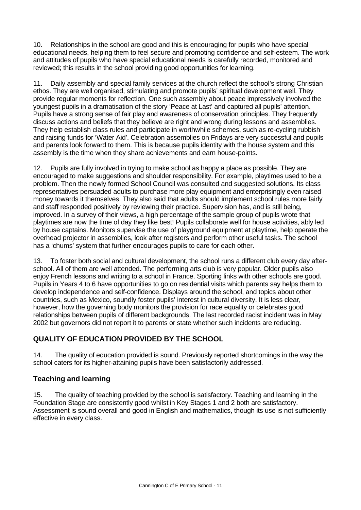10. Relationships in the school are good and this is encouraging for pupils who have special educational needs, helping them to feel secure and promoting confidence and self-esteem. The work and attitudes of pupils who have special educational needs is carefully recorded, monitored and reviewed; this results in the school providing good opportunities for learning.

11. Daily assembly and special family services at the church reflect the school's strong Christian ethos. They are well organised, stimulating and promote pupils' spiritual development well. They provide regular moments for reflection. One such assembly about peace impressively involved the youngest pupils in a dramatisation of the story 'Peace at Last' and captured all pupils' attention. Pupils have a strong sense of fair play and awareness of conservation principles. They frequently discuss actions and beliefs that they believe are right and wrong during lessons and assemblies. They help establish class rules and participate in worthwhile schemes, such as re-cycling rubbish and raising funds for 'Water Aid'. Celebration assemblies on Fridays are very successful and pupils and parents look forward to them. This is because pupils identity with the house system and this assembly is the time when they share achievements and earn house-points.

12. Pupils are fully involved in trying to make school as happy a place as possible. They are encouraged to make suggestions and shoulder responsibility. For example, playtimes used to be a problem. Then the newly formed School Council was consulted and suggested solutions. Its class representatives persuaded adults to purchase more play equipment and enterprisingly even raised money towards it themselves. They also said that adults should implement school rules more fairly and staff responded positively by reviewing their practice. Supervision has, and is still being, improved. In a survey of their views, a high percentage of the sample group of pupils wrote that playtimes are now the time of day they like best! Pupils collaborate well for house activities, ably led by house captains. Monitors supervise the use of playground equipment at playtime, help operate the overhead projector in assemblies, look after registers and perform other useful tasks. The school has a 'chums' system that further encourages pupils to care for each other.

13. To foster both social and cultural development, the school runs a different club every day afterschool. All of them are well attended. The performing arts club is very popular. Older pupils also enjoy French lessons and writing to a school in France. Sporting links with other schools are good. Pupils in Years 4 to 6 have opportunities to go on residential visits which parents say helps them to develop independence and self-confidence. Displays around the school, and topics about other countries, such as Mexico, soundly foster pupils' interest in cultural diversity. It is less clear, however, how the governing body monitors the provision for race equality or celebrates good relationships between pupils of different backgrounds. The last recorded racist incident was in May 2002 but governors did not report it to parents or state whether such incidents are reducing.

## **QUALITY OF EDUCATION PROVIDED BY THE SCHOOL**

14. The quality of education provided is sound. Previously reported shortcomings in the way the school caters for its higher-attaining pupils have been satisfactorily addressed.

## **Teaching and learning**

15. The quality of teaching provided by the school is satisfactory. Teaching and learning in the Foundation Stage are consistently good whilst in Key Stages 1 and 2 both are satisfactory. Assessment is sound overall and good in English and mathematics, though its use is not sufficiently effective in every class.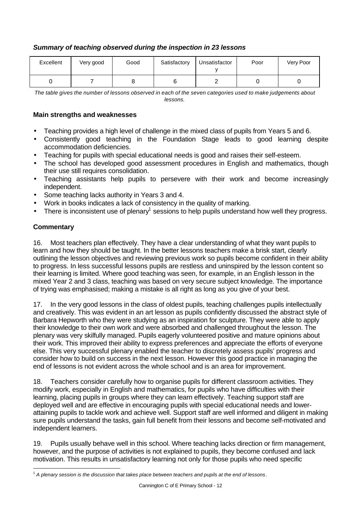#### *Summary of teaching observed during the inspection in 23 lessons*

| Excellent | Very good | Good | Satisfactory | Unsatisfactor | Poor | Very Poor |
|-----------|-----------|------|--------------|---------------|------|-----------|
|           |           |      |              |               |      |           |

*The table gives the number of lessons observed in each of the seven categories used to make judgements about lessons.*

#### **Main strengths and weaknesses**

- Teaching provides a high level of challenge in the mixed class of pupils from Years 5 and 6.
- Consistently good teaching in the Foundation Stage leads to good learning despite accommodation deficiencies.
- Teaching for pupils with special educational needs is good and raises their self-esteem.
- The school has developed good assessment procedures in English and mathematics, though their use still requires consolidation.
- Teaching assistants help pupils to persevere with their work and become increasingly independent.
- Some teaching lacks authority in Years 3 and 4.
- Work in books indicates a lack of consistency in the quality of marking.
- $\bullet$  There is inconsistent use of plenary<sup>1</sup> sessions to help pupils understand how well they progress.

#### **Commentary**

16. Most teachers plan effectively. They have a clear understanding of what they want pupils to learn and how they should be taught. In the better lessons teachers make a brisk start, clearly outlining the lesson objectives and reviewing previous work so pupils become confident in their ability to progress. In less successful lessons pupils are restless and uninspired by the lesson content so their learning is limited. Where good teaching was seen, for example, in an English lesson in the mixed Year 2 and 3 class, teaching was based on very secure subject knowledge. The importance of trying was emphasised; making a mistake is all right as long as you give of your best.

17. In the very good lessons in the class of oldest pupils, teaching challenges pupils intellectually and creatively. This was evident in an art lesson as pupils confidently discussed the abstract style of Barbara Hepworth who they were studying as an inspiration for sculpture. They were able to apply their knowledge to their own work and were absorbed and challenged throughout the lesson. The plenary was very skilfully managed. Pupils eagerly volunteered positive and mature opinions about their work. This improved their ability to express preferences and appreciate the efforts of everyone else. This very successful plenary enabled the teacher to discretely assess pupils' progress and consider how to build on success in the next lesson. However this good practice in managing the end of lessons is not evident across the whole school and is an area for improvement.

18. Teachers consider carefully how to organise pupils for different classroom activities. They modify work, especially in English and mathematics, for pupils who have difficulties with their learning, placing pupils in groups where they can learn effectively. Teaching support staff are deployed well and are effective in encouraging pupils with special educational needs and lowerattaining pupils to tackle work and achieve well. Support staff are well informed and diligent in making sure pupils understand the tasks, gain full benefit from their lessons and become self-motivated and independent learners.

19. Pupils usually behave well in this school. Where teaching lacks direction or firm management, however, and the purpose of activities is not explained to pupils, they become confused and lack motivation. This results in unsatisfactory learning not only for those pupils who need specific

l <sup>1</sup> *A plenary session is the discussion that takes place between teachers and pupils at the end of lessons*.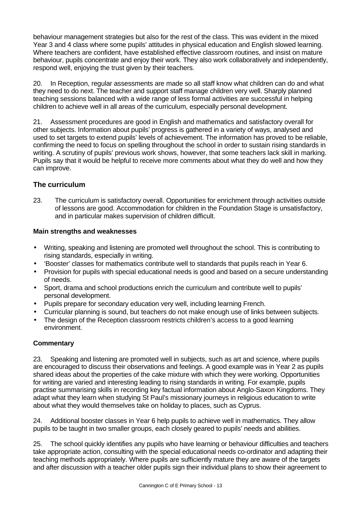behaviour management strategies but also for the rest of the class. This was evident in the mixed Year 3 and 4 class where some pupils' attitudes in physical education and English slowed learning. Where teachers are confident, have established effective classroom routines, and insist on mature behaviour, pupils concentrate and enjoy their work. They also work collaboratively and independently, respond well, enjoying the trust given by their teachers.

20. In Reception, regular assessments are made so all staff know what children can do and what they need to do next. The teacher and support staff manage children very well. Sharply planned teaching sessions balanced with a wide range of less formal activities are successful in helping children to achieve well in all areas of the curriculum, especially personal development.

21. Assessment procedures are good in English and mathematics and satisfactory overall for other subjects. Information about pupils' progress is gathered in a variety of ways, analysed and used to set targets to extend pupils' levels of achievement. The information has proved to be reliable, confirming the need to focus on spelling throughout the school in order to sustain rising standards in writing. A scrutiny of pupils' previous work shows, however, that some teachers lack skill in marking. Pupils say that it would be helpful to receive more comments about what they do well and how they can improve.

## **The curriculum**

23. The curriculum is satisfactory overall. Opportunities for enrichment through activities outside of lessons are good. Accommodation for children in the Foundation Stage is unsatisfactory, and in particular makes supervision of children difficult.

#### **Main strengths and weaknesses**

- Writing, speaking and listening are promoted well throughout the school. This is contributing to rising standards, especially in writing.
- 'Booster' classes for mathematics contribute well to standards that pupils reach in Year 6.
- Provision for pupils with special educational needs is good and based on a secure understanding of needs.
- Sport, drama and school productions enrich the curriculum and contribute well to pupils' personal development.
- Pupils prepare for secondary education very well, including learning French.
- Curricular planning is sound, but teachers do not make enough use of links between subjects.
- The design of the Reception classroom restricts children's access to a good learning environment.

#### **Commentary**

23. Speaking and listening are promoted well in subjects, such as art and science, where pupils are encouraged to discuss their observations and feelings. A good example was in Year 2 as pupils shared ideas about the properties of the cake mixture with which they were working. Opportunities for writing are varied and interesting leading to rising standards in writing. For example, pupils practise summarising skills in recording key factual information about Anglo-Saxon Kingdoms. They adapt what they learn when studying St Paul's missionary journeys in religious education to write about what they would themselves take on holiday to places, such as Cyprus.

24. Additional booster classes in Year 6 help pupils to achieve well in mathematics. They allow pupils to be taught in two smaller groups, each closely geared to pupils' needs and abilities.

25. The school quickly identifies any pupils who have learning or behaviour difficulties and teachers take appropriate action, consulting with the special educational needs co-ordinator and adapting their teaching methods appropriately. Where pupils are sufficiently mature they are aware of the targets and after discussion with a teacher older pupils sign their individual plans to show their agreement to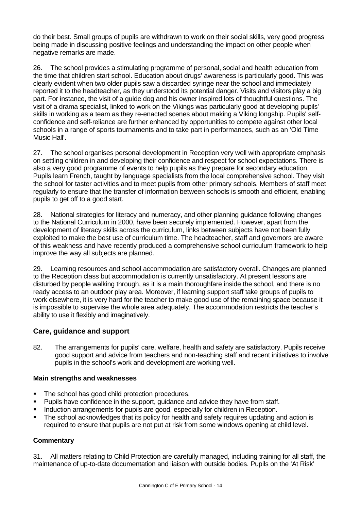do their best. Small groups of pupils are withdrawn to work on their social skills, very good progress being made in discussing positive feelings and understanding the impact on other people when negative remarks are made.

26. The school provides a stimulating programme of personal, social and health education from the time that children start school. Education about drugs' awareness is particularly good. This was clearly evident when two older pupils saw a discarded syringe near the school and immediately reported it to the headteacher, as they understood its potential danger. Visits and visitors play a big part. For instance, the visit of a guide dog and his owner inspired lots of thoughtful questions. The visit of a drama specialist, linked to work on the Vikings was particularly good at developing pupils' skills in working as a team as they re-enacted scenes about making a Viking longship. Pupils' selfconfidence and self-reliance are further enhanced by opportunities to compete against other local schools in a range of sports tournaments and to take part in performances, such as an 'Old Time Music Hall'.

27. The school organises personal development in Reception very well with appropriate emphasis on settling children in and developing their confidence and respect for school expectations. There is also a very good programme of events to help pupils as they prepare for secondary education. Pupils learn French, taught by language specialists from the local comprehensive school. They visit the school for taster activities and to meet pupils from other primary schools. Members of staff meet regularly to ensure that the transfer of information between schools is smooth and efficient, enabling pupils to get off to a good start.

28. National strategies for literacy and numeracy, and other planning guidance following changes to the National Curriculum in 2000, have been securely implemented. However, apart from the development of literacy skills across the curriculum, links between subjects have not been fully exploited to make the best use of curriculum time. The headteacher, staff and governors are aware of this weakness and have recently produced a comprehensive school curriculum framework to help improve the way all subjects are planned.

29. Learning resources and school accommodation are satisfactory overall. Changes are planned to the Reception class but accommodation is currently unsatisfactory. At present lessons are disturbed by people walking through, as it is a main thoroughfare inside the school, and there is no ready access to an outdoor play area. Moreover, if learning support staff take groups of pupils to work elsewhere, it is very hard for the teacher to make good use of the remaining space because it is impossible to supervise the whole area adequately. The accommodation restricts the teacher's ability to use it flexibly and imaginatively.

## **Care, guidance and support**

82. The arrangements for pupils' care, welfare, health and safety are satisfactory. Pupils receive good support and advice from teachers and non-teaching staff and recent initiatives to involve pupils in the school's work and development are working well.

#### **Main strengths and weaknesses**

- The school has good child protection procedures.
- ß Pupils have confidence in the support, guidance and advice they have from staff.
- **Induction arrangements for pupils are good, especially for children in Reception.**
- The school acknowledges that its policy for health and safety requires updating and action is required to ensure that pupils are not put at risk from some windows opening at child level.

#### **Commentary**

31. All matters relating to Child Protection are carefully managed, including training for all staff, the maintenance of up-to-date documentation and liaison with outside bodies. Pupils on the 'At Risk'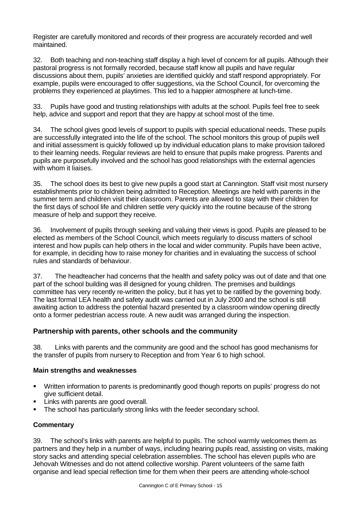Register are carefully monitored and records of their progress are accurately recorded and well maintained.

32. Both teaching and non-teaching staff display a high level of concern for all pupils. Although their pastoral progress is not formally recorded, because staff know all pupils and have regular discussions about them, pupils' anxieties are identified quickly and staff respond appropriately. For example, pupils were encouraged to offer suggestions, via the School Council, for overcoming the problems they experienced at playtimes. This led to a happier atmosphere at lunch-time.

33. Pupils have good and trusting relationships with adults at the school. Pupils feel free to seek help, advice and support and report that they are happy at school most of the time.

34. The school gives good levels of support to pupils with special educational needs. These pupils are successfully integrated into the life of the school. The school monitors this group of pupils well and initial assessment is quickly followed up by individual education plans to make provision tailored to their learning needs. Regular reviews are held to ensure that pupils make progress. Parents and pupils are purposefully involved and the school has good relationships with the external agencies with whom it liaises.

35. The school does its best to give new pupils a good start at Cannington. Staff visit most nursery establishments prior to children being admitted to Reception. Meetings are held with parents in the summer term and children visit their classroom. Parents are allowed to stay with their children for the first days of school life and children settle very quickly into the routine because of the strong measure of help and support they receive.

36. Involvement of pupils through seeking and valuing their views is good. Pupils are pleased to be elected as members of the School Council, which meets regularly to discuss matters of school interest and how pupils can help others in the local and wider community. Pupils have been active, for example, in deciding how to raise money for charities and in evaluating the success of school rules and standards of behaviour.

37. The headteacher had concerns that the health and safety policy was out of date and that one part of the school building was ill designed for young children. The premises and buildings committee has very recently re-written the policy, but it has yet to be ratified by the governing body. The last formal LEA health and safety audit was carried out in July 2000 and the school is still awaiting action to address the potential hazard presented by a classroom window opening directly onto a former pedestrian access route. A new audit was arranged during the inspection.

#### **Partnership with parents, other schools and the community**

38. Links with parents and the community are good and the school has good mechanisms for the transfer of pupils from nursery to Reception and from Year 6 to high school.

#### **Main strengths and weaknesses**

- Written information to parents is predominantly good though reports on pupils' progress do not give sufficient detail.
- ß Links with parents are good overall.
- The school has particularly strong links with the feeder secondary school.

#### **Commentary**

39. The school's links with parents are helpful to pupils. The school warmly welcomes them as partners and they help in a number of ways, including hearing pupils read, assisting on visits, making story sacks and attending special celebration assemblies. The school has eleven pupils who are Jehovah Witnesses and do not attend collective worship. Parent volunteers of the same faith organise and lead special reflection time for them when their peers are attending whole-school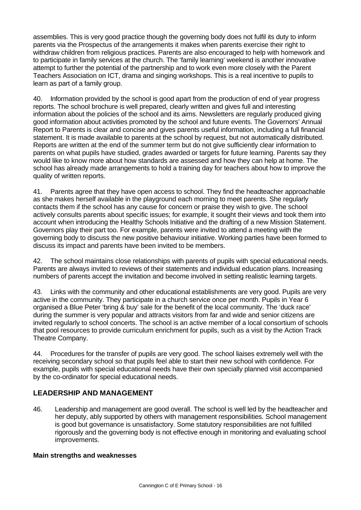assemblies. This is very good practice though the governing body does not fulfil its duty to inform parents via the Prospectus of the arrangements it makes when parents exercise their right to withdraw children from religious practices. Parents are also encouraged to help with homework and to participate in family services at the church. The 'family learning' weekend is another innovative attempt to further the potential of the partnership and to work even more closely with the Parent Teachers Association on ICT, drama and singing workshops. This is a real incentive to pupils to learn as part of a family group.

40. Information provided by the school is good apart from the production of end of year progress reports. The school brochure is well prepared, clearly written and gives full and interesting information about the policies of the school and its aims. Newsletters are regularly produced giving good information about activities promoted by the school and future events. The Governors' Annual Report to Parents is clear and concise and gives parents useful information, including a full financial statement. It is made available to parents at the school by request, but not automatically distributed. Reports are written at the end of the summer term but do not give sufficiently clear information to parents on what pupils have studied, grades awarded or targets for future learning. Parents say they would like to know more about how standards are assessed and how they can help at home. The school has already made arrangements to hold a training day for teachers about how to improve the quality of written reports.

41. Parents agree that they have open access to school. They find the headteacher approachable as she makes herself available in the playground each morning to meet parents. She regularly contacts them if the school has any cause for concern or praise they wish to give. The school actively consults parents about specific issues; for example, it sought their views and took them into account when introducing the Healthy Schools Initiative and the drafting of a new Mission Statement. Governors play their part too. For example, parents were invited to attend a meeting with the governing body to discuss the new positive behaviour initiative. Working parties have been formed to discuss its impact and parents have been invited to be members.

42. The school maintains close relationships with parents of pupils with special educational needs. Parents are always invited to reviews of their statements and individual education plans. Increasing numbers of parents accept the invitation and become involved in setting realistic learning targets.

43. Links with the community and other educational establishments are very good. Pupils are very active in the community. They participate in a church service once per month. Pupils in Year 6 organised a Blue Peter 'bring & buy' sale for the benefit of the local community. The 'duck race' during the summer is very popular and attracts visitors from far and wide and senior citizens are invited regularly to school concerts. The school is an active member of a local consortium of schools that pool resources to provide curriculum enrichment for pupils, such as a visit by the Action Track Theatre Company.

44. Procedures for the transfer of pupils are very good. The school liaises extremely well with the receiving secondary school so that pupils feel able to start their new school with confidence. For example, pupils with special educational needs have their own specially planned visit accompanied by the co-ordinator for special educational needs.

## **LEADERSHIP AND MANAGEMENT**

46. Leadership and management are good overall. The school is well led by the headteacher and her deputy, ably supported by others with management responsibilities. School management is good but governance is unsatisfactory. Some statutory responsibilities are not fulfilled rigorously and the governing body is not effective enough in monitoring and evaluating school improvements.

#### **Main strengths and weaknesses**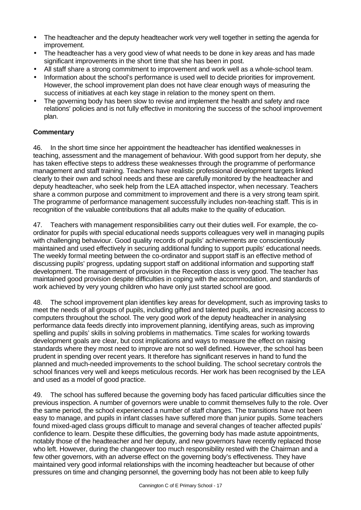- The headteacher and the deputy headteacher work very well together in setting the agenda for improvement.
- The headteacher has a very good view of what needs to be done in key areas and has made significant improvements in the short time that she has been in post.
- All staff share a strong commitment to improvement and work well as a whole-school team.
- Information about the school's performance is used well to decide priorities for improvement. However, the school improvement plan does not have clear enough ways of measuring the success of initiatives at each key stage in relation to the money spent on them.
- The governing body has been slow to revise and implement the health and safety and race relations' policies and is not fully effective in monitoring the success of the school improvement plan.

#### **Commentary**

46. In the short time since her appointment the headteacher has identified weaknesses in teaching, assessment and the management of behaviour. With good support from her deputy, she has taken effective steps to address these weaknesses through the programme of performance management and staff training. Teachers have realistic professional development targets linked clearly to their own and school needs and these are carefully monitored by the headteacher and deputy headteacher, who seek help from the LEA attached inspector, when necessary. Teachers share a common purpose and commitment to improvement and there is a very strong team spirit. The programme of performance management successfully includes non-teaching staff. This is in recognition of the valuable contributions that all adults make to the quality of education.

47. Teachers with management responsibilities carry out their duties well. For example, the coordinator for pupils with special educational needs supports colleagues very well in managing pupils with challenging behaviour. Good quality records of pupils' achievements are conscientiously maintained and used effectively in securing additional funding to support pupils' educational needs. The weekly formal meeting between the co-ordinator and support staff is an effective method of discussing pupils' progress, updating support staff on additional information and supporting staff development. The management of provision in the Reception class is very good. The teacher has maintained good provision despite difficulties in coping with the accommodation, and standards of work achieved by very young children who have only just started school are good.

48. The school improvement plan identifies key areas for development, such as improving tasks to meet the needs of all groups of pupils, including gifted and talented pupils, and increasing access to computers throughout the school. The very good work of the deputy headteacher in analysing performance data feeds directly into improvement planning, identifying areas, such as improving spelling and pupils' skills in solving problems in mathematics. Time scales for working towards development goals are clear, but cost implications and ways to measure the effect on raising standards where they most need to improve are not so well defined. However, the school has been prudent in spending over recent years. It therefore has significant reserves in hand to fund the planned and much-needed improvements to the school building. The school secretary controls the school finances very well and keeps meticulous records. Her work has been recognised by the LEA and used as a model of good practice.

49. The school has suffered because the governing body has faced particular difficulties since the previous inspection. A number of governors were unable to commit themselves fully to the role. Over the same period, the school experienced a number of staff changes. The transitions have not been easy to manage, and pupils in infant classes have suffered more than junior pupils. Some teachers found mixed-aged class groups difficult to manage and several changes of teacher affected pupils' confidence to learn. Despite these difficulties, the governing body has made astute appointments, notably those of the headteacher and her deputy, and new governors have recently replaced those who left. However, during the changeover too much responsibility rested with the Chairman and a few other governors, with an adverse effect on the governing body's effectiveness. They have maintained very good informal relationships with the incoming headteacher but because of other pressures on time and changing personnel, the governing body has not been able to keep fully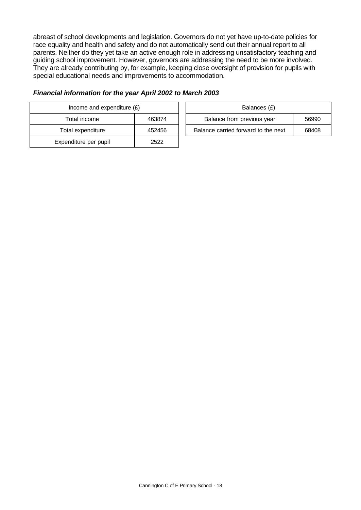abreast of school developments and legislation. Governors do not yet have up-to-date policies for race equality and health and safety and do not automatically send out their annual report to all parents. Neither do they yet take an active enough role in addressing unsatisfactory teaching and guiding school improvement. However, governors are addressing the need to be more involved. They are already contributing by, for example, keeping close oversight of provision for pupils with special educational needs and improvements to accommodation.

| Income and expenditure $(E)$ | Balances (£) |                                |
|------------------------------|--------------|--------------------------------|
| Total income                 | 463874       | Balance from previous year     |
| Total expenditure            | 452456       | Balance carried forward to the |
| Expenditure per pupil        | 2522         |                                |

#### *Financial information for the year April 2002 to March 2003*

| Income and expenditure $(E)$ |        | Balances (£)                        |       |
|------------------------------|--------|-------------------------------------|-------|
| Total income                 | 463874 | Balance from previous year          | 56990 |
| Total expenditure            | 452456 | Balance carried forward to the next | 68408 |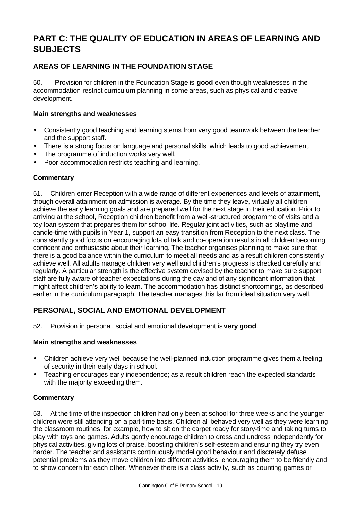# **PART C: THE QUALITY OF EDUCATION IN AREAS OF LEARNING AND SUBJECTS**

## **AREAS OF LEARNING IN THE FOUNDATION STAGE**

50. Provision for children in the Foundation Stage is **good** even though weaknesses in the accommodation restrict curriculum planning in some areas, such as physical and creative development.

#### **Main strengths and weaknesses**

- Consistently good teaching and learning stems from very good teamwork between the teacher and the support staff.
- There is a strong focus on language and personal skills, which leads to good achievement.
- The programme of induction works very well.
- Poor accommodation restricts teaching and learning.

#### **Commentary**

51. Children enter Reception with a wide range of different experiences and levels of attainment, though overall attainment on admission is average. By the time they leave, virtually all children achieve the early learning goals and are prepared well for the next stage in their education. Prior to arriving at the school, Reception children benefit from a well-structured programme of visits and a toy loan system that prepares them for school life. Regular joint activities, such as playtime and candle-time with pupils in Year 1, support an easy transition from Reception to the next class. The consistently good focus on encouraging lots of talk and co-operation results in all children becoming confident and enthusiastic about their learning. The teacher organises planning to make sure that there is a good balance within the curriculum to meet all needs and as a result children consistently achieve well. All adults manage children very well and children's progress is checked carefully and regularly. A particular strength is the effective system devised by the teacher to make sure support staff are fully aware of teacher expectations during the day and of any significant information that might affect children's ability to learn. The accommodation has distinct shortcomings, as described earlier in the curriculum paragraph. The teacher manages this far from ideal situation very well.

#### **PERSONAL, SOCIAL AND EMOTIONAL DEVELOPMENT**

52. Provision in personal, social and emotional development is **very good**.

#### **Main strengths and weaknesses**

- Children achieve very well because the well-planned induction programme gives them a feeling of security in their early days in school.
- Teaching encourages early independence; as a result children reach the expected standards with the majority exceeding them.

#### **Commentary**

53. At the time of the inspection children had only been at school for three weeks and the younger children were still attending on a part-time basis. Children all behaved very well as they were learning the classroom routines, for example, how to sit on the carpet ready for story-time and taking turns to play with toys and games. Adults gently encourage children to dress and undress independently for physical activities, giving lots of praise, boosting children's self-esteem and ensuring they try even harder. The teacher and assistants continuously model good behaviour and discretely defuse potential problems as they move children into different activities, encouraging them to be friendly and to show concern for each other. Whenever there is a class activity, such as counting games or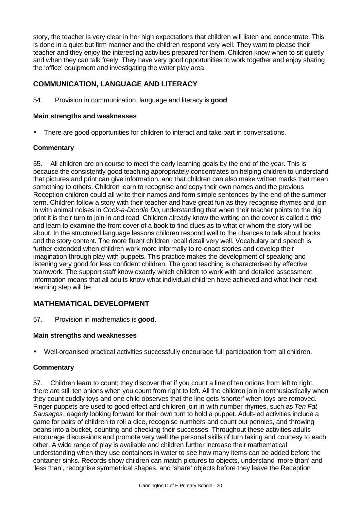story, the teacher is very clear in her high expectations that children will listen and concentrate. This is done in a quiet but firm manner and the children respond very well. They want to please their teacher and they enjoy the interesting activities prepared for them. Children know when to sit quietly and when they can talk freely. They have very good opportunities to work together and enjoy sharing the 'office' equipment and investigating the water play area.

## **COMMUNICATION, LANGUAGE AND LITERACY**

54. Provision in communication, language and literacy is **good**.

#### **Main strengths and weaknesses**

• There are good opportunities for children to interact and take part in conversations.

#### **Commentary**

55. All children are on course to meet the early learning goals by the end of the year. This is because the consistently good teaching appropriately concentrates on helping children to understand that pictures and print can give information, and that children can also make written marks that mean something to others. Children learn to recognise and copy their own names and the previous Reception children could all write their names and form simple sentences by the end of the summer term. Children follow a story with their teacher and have great fun as they recognise rhymes and join in with animal noises in *Cock-a-Doodle Do*, understanding that when their teacher points to the big print it is their turn to join in and read. Children already know the writing on the cover is called a *title* and learn to examine the front cover of a book to find clues as to what or whom the story will be about. In the structured language lessons children respond well to the chances to talk about books and the story content. The more fluent children recall detail very well. Vocabulary and speech is further extended when children work more informally to re-enact stories and develop their imagination through play with puppets. This practice makes the development of speaking and listening very good for less confident children. The good teaching is characterised by effective teamwork. The support staff know exactly which children to work with and detailed assessment information means that all adults know what individual children have achieved and what their next learning step will be.

#### **MATHEMATICAL DEVELOPMENT**

57. Provision in mathematics is **good**.

#### **Main strengths and weaknesses**

• Well-organised practical activities successfully encourage full participation from all children.

#### **Commentary**

57. Children learn to count; they discover that if you count a line of ten onions from left to right, there are still ten onions when you count from right to left. All the children join in enthusiastically when they count cuddly toys and one child observes that the line gets 'shorter' when toys are removed. Finger puppets are used to good effect and children join in with number rhymes, such as *Ten Fat Sausages*, eagerly looking forward for their own turn to hold a puppet. Adult-led activities include a game for pairs of children to roll a dice, recognise numbers and count out pennies, and throwing beans into a bucket, counting and checking their successes. Throughout these activities adults encourage discussions and promote very well the personal skills of turn taking and courtesy to each other. A wide range of play is available and children further increase their mathematical understanding when they use containers in water to see how many items can be added before the container sinks. Records show children can match pictures to objects, understand 'more than' and 'less than', recognise symmetrical shapes, and 'share' objects before they leave the Reception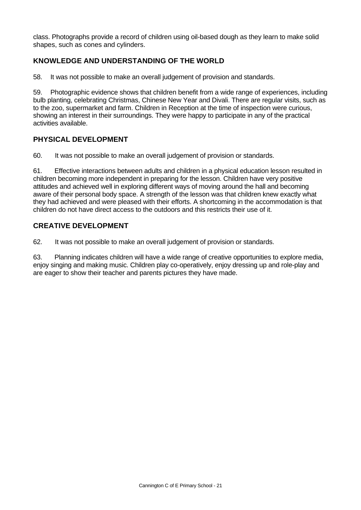class. Photographs provide a record of children using oil-based dough as they learn to make solid shapes, such as cones and cylinders.

## **KNOWLEDGE AND UNDERSTANDING OF THE WORLD**

58. It was not possible to make an overall judgement of provision and standards.

59. Photographic evidence shows that children benefit from a wide range of experiences, including bulb planting, celebrating Christmas, Chinese New Year and Divali. There are regular visits, such as to the zoo, supermarket and farm. Children in Reception at the time of inspection were curious, showing an interest in their surroundings. They were happy to participate in any of the practical activities available.

#### **PHYSICAL DEVELOPMENT**

60. It was not possible to make an overall judgement of provision or standards.

61. Effective interactions between adults and children in a physical education lesson resulted in children becoming more independent in preparing for the lesson. Children have very positive attitudes and achieved well in exploring different ways of moving around the hall and becoming aware of their personal body space. A strength of the lesson was that children knew exactly what they had achieved and were pleased with their efforts. A shortcoming in the accommodation is that children do not have direct access to the outdoors and this restricts their use of it.

#### **CREATIVE DEVELOPMENT**

62. It was not possible to make an overall judgement of provision or standards.

63. Planning indicates children will have a wide range of creative opportunities to explore media, enjoy singing and making music. Children play co-operatively, enjoy dressing up and role-play and are eager to show their teacher and parents pictures they have made.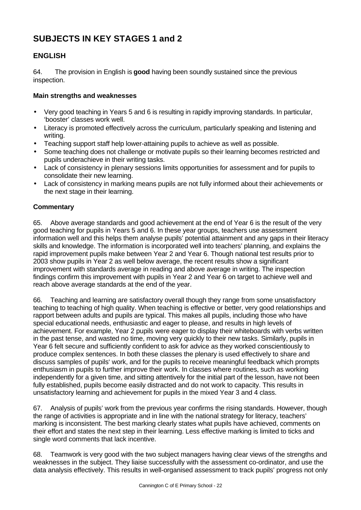# **SUBJECTS IN KEY STAGES 1 and 2**

## **ENGLISH**

64. The provision in English is **good** having been soundly sustained since the previous inspection.

#### **Main strengths and weaknesses**

- Very good teaching in Years 5 and 6 is resulting in rapidly improving standards. In particular, 'booster' classes work well.
- Literacy is promoted effectively across the curriculum, particularly speaking and listening and writing.
- Teaching support staff help lower-attaining pupils to achieve as well as possible.
- Some teaching does not challenge or motivate pupils so their learning becomes restricted and pupils underachieve in their writing tasks.
- Lack of consistency in plenary sessions limits opportunities for assessment and for pupils to consolidate their new learning.
- Lack of consistency in marking means pupils are not fully informed about their achievements or the next stage in their learning.

#### **Commentary**

65. Above average standards and good achievement at the end of Year 6 is the result of the very good teaching for pupils in Years 5 and 6. In these year groups, teachers use assessment information well and this helps them analyse pupils' potential attainment and any gaps in their literacy skills and knowledge. The information is incorporated well into teachers' planning, and explains the rapid improvement pupils make between Year 2 and Year 6. Though national test results prior to 2003 show pupils in Year 2 as well below average, the recent results show a significant improvement with standards average in reading and above average in writing. The inspection findings confirm this improvement with pupils in Year 2 and Year 6 on target to achieve well and reach above average standards at the end of the year.

66. Teaching and learning are satisfactory overall though they range from some unsatisfactory teaching to teaching of high quality. When teaching is effective or better, very good relationships and rapport between adults and pupils are typical. This makes all pupils, including those who have special educational needs, enthusiastic and eager to please, and results in high levels of achievement. For example, Year 2 pupils were eager to display their whiteboards with verbs written in the past tense, and wasted no time, moving very quickly to their new tasks. Similarly, pupils in Year 6 felt secure and sufficiently confident to ask for advice as they worked conscientiously to produce complex sentences. In both these classes the plenary is used effectively to share and discuss samples of pupils' work, and for the pupils to receive meaningful feedback which prompts enthusiasm in pupils to further improve their work. In classes where routines, such as working independently for a given time, and sitting attentively for the initial part of the lesson, have not been fully established, pupils become easily distracted and do not work to capacity. This results in unsatisfactory learning and achievement for pupils in the mixed Year 3 and 4 class.

67. Analysis of pupils' work from the previous year confirms the rising standards. However, though the range of activities is appropriate and in line with the national strategy for literacy, teachers' marking is inconsistent. The best marking clearly states what pupils have achieved, comments on their effort and states the next step in their learning. Less effective marking is limited to ticks and single word comments that lack incentive.

68. Teamwork is very good with the two subject managers having clear views of the strengths and weaknesses in the subject. They liaise successfully with the assessment co-ordinator, and use the data analysis effectively. This results in well-organised assessment to track pupils' progress not only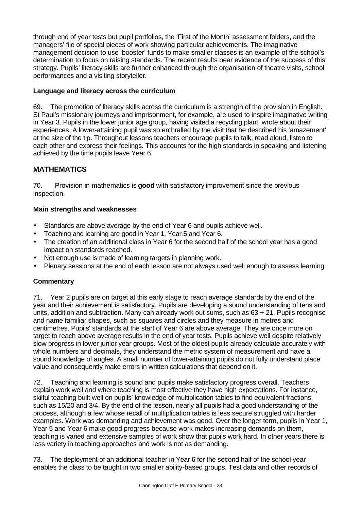through end of year tests but pupil portfolios, the 'First of the Month' assessment folders, and the managers' file of special pieces of work showing particular achievements. The imaginative management decision to use 'booster' funds to make smaller classes is an example of the school's determination to focus on raising standards. The recent results bear evidence of the success of this strategy. Pupils' literacy skills are further enhanced through the organisation of theatre visits, school performances and a visiting storyteller.

#### **Language and literacy across the curriculum**

69. The promotion of literacy skills across the curriculum is a strength of the provision in English. St Paul's missionary journeys and imprisonment, for example, are used to inspire imaginative writing in Year 3. Pupils in the lower junior age group, having visited a recycling plant, wrote about their experiences. A lower-attaining pupil was so enthralled by the visit that he described his 'amazement' at the size of the tip. Throughout lessons teachers encourage pupils to talk, read aloud, listen to each other and express their feelings. This accounts for the high standards in speaking and listening achieved by the time pupils leave Year 6.

## **MATHEMATICS**

70. Provision in mathematics is **good** with satisfactory improvement since the previous inspection.

#### **Main strengths and weaknesses**

- Standards are above average by the end of Year 6 and pupils achieve well.
- Teaching and learning are good in Year 1, Year 5 and Year 6.
- The creation of an additional class in Year 6 for the second half of the school year has a good impact on standards reached.
- Not enough use is made of learning targets in planning work.
- Plenary sessions at the end of each lesson are not always used well enough to assess learning.

#### **Commentary**

71. Year 2 pupils are on target at this early stage to reach average standards by the end of the year and their achievement is satisfactory. Pupils are developing a sound understanding of tens and units, addition and subtraction. Many can already work out sums, such as 63 + 21. Pupils recognise and name familiar shapes, such as squares and circles and they measure in metres and centimetres. Pupils' standards at the start of Year 6 are above average. They are once more on target to reach above average results in the end of year tests. Pupils achieve well despite relatively slow progress in lower junior year groups. Most of the oldest pupils already calculate accurately with whole numbers and decimals, they understand the metric system of measurement and have a sound knowledge of angles. A small number of lower-attaining pupils do not fully understand place value and consequently make errors in written calculations that depend on it.

72. Teaching and learning is sound and pupils make satisfactory progress overall. Teachers explain work well and where teaching is most effective they have high expectations. For instance, skilful teaching built well on pupils' knowledge of multiplication tables to find equivalent fractions, such as 15/20 and 3/4. By the end of the lesson, nearly all pupils had a good understanding of the process, although a few whose recall of multiplication tables is less secure struggled with harder examples. Work was demanding and achievement was good. Over the longer term, pupils in Year 1, Year 5 and Year 6 make good progress because work makes increasing demands on them, teaching is varied and extensive samples of work show that pupils work hard. In other years there is less variety in teaching approaches and work is not as demanding.

73. The deployment of an additional teacher in Year 6 for the second half of the school year enables the class to be taught in two smaller ability-based groups. Test data and other records of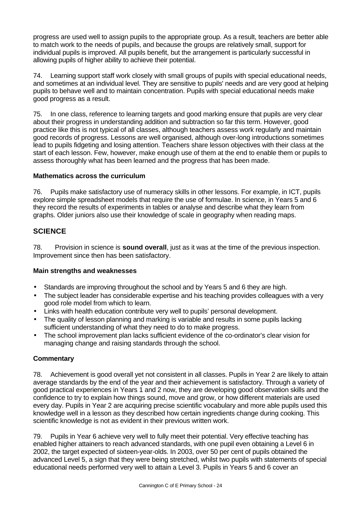progress are used well to assign pupils to the appropriate group. As a result, teachers are better able to match work to the needs of pupils, and because the groups are relatively small, support for individual pupils is improved. All pupils benefit, but the arrangement is particularly successful in allowing pupils of higher ability to achieve their potential.

74. Learning support staff work closely with small groups of pupils with special educational needs, and sometimes at an individual level. They are sensitive to pupils' needs and are very good at helping pupils to behave well and to maintain concentration. Pupils with special educational needs make good progress as a result.

75. In one class, reference to learning targets and good marking ensure that pupils are very clear about their progress in understanding addition and subtraction so far this term. However, good practice like this is not typical of all classes, although teachers assess work regularly and maintain good records of progress. Lessons are well organised, although over-long introductions sometimes lead to pupils fidgeting and losing attention. Teachers share lesson objectives with their class at the start of each lesson. Few, however, make enough use of them at the end to enable them or pupils to assess thoroughly what has been learned and the progress that has been made.

#### **Mathematics across the curriculum**

76. Pupils make satisfactory use of numeracy skills in other lessons. For example, in ICT, pupils explore simple spreadsheet models that require the use of formulae. In science, in Years 5 and 6 they record the results of experiments in tables or analyse and describe what they learn from graphs. Older juniors also use their knowledge of scale in geography when reading maps.

#### **SCIENCE**

78. Provision in science is **sound overall**, just as it was at the time of the previous inspection. Improvement since then has been satisfactory.

#### **Main strengths and weaknesses**

- Standards are improving throughout the school and by Years 5 and 6 they are high.
- The subject leader has considerable expertise and his teaching provides colleagues with a very good role model from which to learn.
- Links with health education contribute very well to pupils' personal development.
- The quality of lesson planning and marking is variable and results in some pupils lacking sufficient understanding of what they need to do to make progress.
- The school improvement plan lacks sufficient evidence of the co-ordinator's clear vision for managing change and raising standards through the school.

#### **Commentary**

78. Achievement is good overall yet not consistent in all classes. Pupils in Year 2 are likely to attain average standards by the end of the year and their achievement is satisfactory. Through a variety of good practical experiences in Years 1 and 2 now, they are developing good observation skills and the confidence to try to explain how things sound, move and grow, or how different materials are used every day. Pupils in Year 2 are acquiring precise scientific vocabulary and more able pupils used this knowledge well in a lesson as they described how certain ingredients change during cooking. This scientific knowledge is not as evident in their previous written work.

79. Pupils in Year 6 achieve very well to fully meet their potential. Very effective teaching has enabled higher attainers to reach advanced standards, with one pupil even obtaining a Level 6 in 2002, the target expected of sixteen-year-olds. In 2003, over 50 per cent of pupils obtained the advanced Level 5, a sign that they were being stretched, whilst two pupils with statements of special educational needs performed very well to attain a Level 3. Pupils in Years 5 and 6 cover an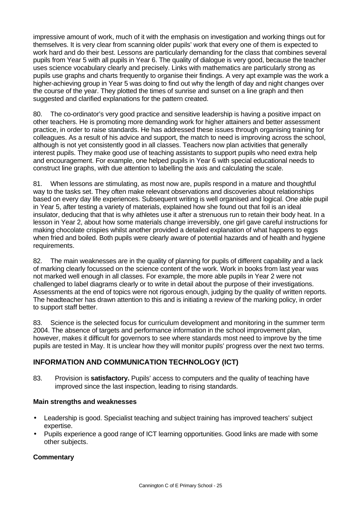impressive amount of work, much of it with the emphasis on investigation and working things out for themselves. It is very clear from scanning older pupils' work that every one of them is expected to work hard and do their best. Lessons are particularly demanding for the class that combines several pupils from Year 5 with all pupils in Year 6. The quality of dialogue is very good, because the teacher uses science vocabulary clearly and precisely. Links with mathematics are particularly strong as pupils use graphs and charts frequently to organise their findings. A very apt example was the work a higher-achieving group in Year 5 was doing to find out why the length of day and night changes over the course of the year. They plotted the times of sunrise and sunset on a line graph and then suggested and clarified explanations for the pattern created.

80. The co-ordinator's very good practice and sensitive leadership is having a positive impact on other teachers. He is promoting more demanding work for higher attainers and better assessment practice, in order to raise standards. He has addressed these issues through organising training for colleagues. As a result of his advice and support, the match to need is improving across the school, although is not yet consistently good in all classes. Teachers now plan activities that generally interest pupils. They make good use of teaching assistants to support pupils who need extra help and encouragement. For example, one helped pupils in Year 6 with special educational needs to construct line graphs, with due attention to labelling the axis and calculating the scale.

81. When lessons are stimulating, as most now are, pupils respond in a mature and thoughtful way to the tasks set. They often make relevant observations and discoveries about relationships based on every day life experiences. Subsequent writing is well organised and logical. One able pupil in Year 5, after testing a variety of materials, explained how she found out that foil is an ideal insulator, deducing that that is why athletes use it after a strenuous run to retain their body heat. In a lesson in Year 2, about how some materials change irreversibly, one girl gave careful instructions for making chocolate crispies whilst another provided a detailed explanation of what happens to eggs when fried and boiled. Both pupils were clearly aware of potential hazards and of health and hygiene requirements.

82. The main weaknesses are in the quality of planning for pupils of different capability and a lack of marking clearly focussed on the science content of the work. Work in books from last year was not marked well enough in all classes. For example, the more able pupils in Year 2 were not challenged to label diagrams clearly or to write in detail about the purpose of their investigations. Assessments at the end of topics were not rigorous enough, judging by the quality of written reports. The headteacher has drawn attention to this and is initiating a review of the marking policy, in order to support staff better.

83. Science is the selected focus for curriculum development and monitoring in the summer term 2004. The absence of targets and performance information in the school improvement plan, however, makes it difficult for governors to see where standards most need to improve by the time pupils are tested in May. It is unclear how they will monitor pupils' progress over the next two terms.

## **INFORMATION AND COMMUNICATION TECHNOLOGY (ICT)**

83. Provision is **satisfactory.** Pupils' access to computers and the quality of teaching have improved since the last inspection, leading to rising standards.

#### **Main strengths and weaknesses**

- Leadership is good. Specialist teaching and subject training has improved teachers' subject expertise.
- Pupils experience a good range of ICT learning opportunities. Good links are made with some other subjects.

#### **Commentary**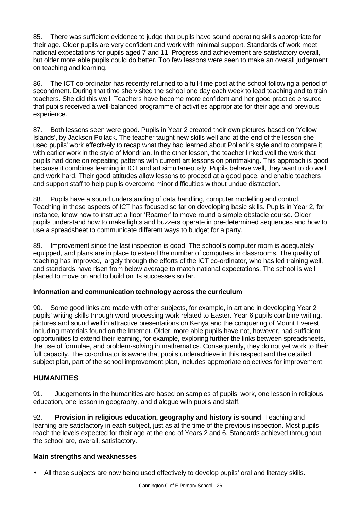85. There was sufficient evidence to judge that pupils have sound operating skills appropriate for their age. Older pupils are very confident and work with minimal support. Standards of work meet national expectations for pupils aged 7 and 11. Progress and achievement are satisfactory overall, but older more able pupils could do better. Too few lessons were seen to make an overall judgement on teaching and learning.

86. The ICT co-ordinator has recently returned to a full-time post at the school following a period of secondment. During that time she visited the school one day each week to lead teaching and to train teachers. She did this well. Teachers have become more confident and her good practice ensured that pupils received a well-balanced programme of activities appropriate for their age and previous experience.

87. Both lessons seen were good. Pupils in Year 2 created their own pictures based on 'Yellow Islands', by Jackson Pollack. The teacher taught new skills well and at the end of the lesson she used pupils' work effectively to recap what they had learned about Pollack's style and to compare it with earlier work in the style of Mondrian. In the other lesson, the teacher linked well the work that pupils had done on repeating patterns with current art lessons on printmaking. This approach is good because it combines learning in ICT and art simultaneously. Pupils behave well, they want to do well and work hard. Their good attitudes allow lessons to proceed at a good pace, and enable teachers and support staff to help pupils overcome minor difficulties without undue distraction.

88. Pupils have a sound understanding of data handling, computer modelling and control. Teaching in these aspects of ICT has focused so far on developing basic skills. Pupils in Year 2, for instance, know how to instruct a floor 'Roamer' to move round a simple obstacle course. Older pupils understand how to make lights and buzzers operate in pre-determined sequences and how to use a spreadsheet to communicate different ways to budget for a party.

89. Improvement since the last inspection is good. The school's computer room is adequately equipped, and plans are in place to extend the number of computers in classrooms. The quality of teaching has improved, largely through the efforts of the ICT co-ordinator, who has led training well, and standards have risen from below average to match national expectations. The school is well placed to move on and to build on its successes so far.

#### **Information and communication technology across the curriculum**

90. Some good links are made with other subjects, for example, in art and in developing Year 2 pupils' writing skills through word processing work related to Easter. Year 6 pupils combine writing, pictures and sound well in attractive presentations on Kenya and the conquering of Mount Everest, including materials found on the Internet. Older, more able pupils have not, however, had sufficient opportunities to extend their learning, for example, exploring further the links between spreadsheets, the use of formulae, and problem-solving in mathematics. Consequently, they do not yet work to their full capacity. The co-ordinator is aware that pupils underachieve in this respect and the detailed subject plan, part of the school improvement plan, includes appropriate objectives for improvement.

#### **HUMANITIES**

91. Judgements in the humanities are based on samples of pupils' work, one lesson in religious education, one lesson in geography, and dialogue with pupils and staff.

92. **Provision in religious education, geography and history is sound**. Teaching and learning are satisfactory in each subject, just as at the time of the previous inspection. Most pupils reach the levels expected for their age at the end of Years 2 and 6. Standards achieved throughout the school are, overall, satisfactory.

#### **Main strengths and weaknesses**

• All these subjects are now being used effectively to develop pupils' oral and literacy skills.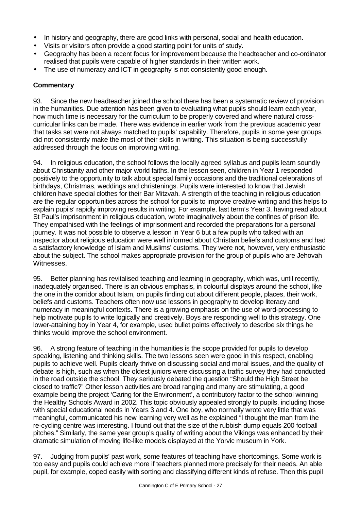- In history and geography, there are good links with personal, social and health education.
- Visits or visitors often provide a good starting point for units of study.
- Geography has been a recent focus for improvement because the headteacher and co-ordinator realised that pupils were capable of higher standards in their written work.
- The use of numeracy and ICT in geography is not consistently good enough.

#### **Commentary**

93. Since the new headteacher joined the school there has been a systematic review of provision in the humanities. Due attention has been given to evaluating what pupils should learn each year, how much time is necessary for the curriculum to be properly covered and where natural crosscurricular links can be made. There was evidence in earlier work from the previous academic year that tasks set were not always matched to pupils' capability. Therefore, pupils in some year groups did not consistently make the most of their skills in writing. This situation is being successfully addressed through the focus on improving writing.

94. In religious education, the school follows the locally agreed syllabus and pupils learn soundly about Christianity and other major world faiths. In the lesson seen, children in Year 1 responded positively to the opportunity to talk about special family occasions and the traditional celebrations of birthdays, Christmas, weddings and christenings. Pupils were interested to know that Jewish children have special clothes for their Bar Mitzvah. A strength of the teaching in religious education are the regular opportunities across the school for pupils to improve creative writing and this helps to explain pupils' rapidly improving results in writing. For example, last term's Year 3, having read about St Paul's imprisonment in religious education, wrote imaginatively about the confines of prison life. They empathised with the feelings of imprisonment and recorded the preparations for a personal journey. It was not possible to observe a lesson in Year 6 but a few pupils who talked with an inspector about religious education were well informed about Christian beliefs and customs and had a satisfactory knowledge of Islam and Muslims' customs. They were not, however, very enthusiastic about the subject. The school makes appropriate provision for the group of pupils who are Jehovah Witnesses.

95. Better planning has revitalised teaching and learning in geography, which was, until recently, inadequately organised. There is an obvious emphasis, in colourful displays around the school, like the one in the corridor about Islam, on pupils finding out about different people, places, their work, beliefs and customs. Teachers often now use lessons in geography to develop literacy and numeracy in meaningful contexts. There is a growing emphasis on the use of word-processing to help motivate pupils to write logically and creatively. Boys are responding well to this strategy. One lower-attaining boy in Year 4, for example, used bullet points effectively to describe six things he thinks would improve the school environment.

96. A strong feature of teaching in the humanities is the scope provided for pupils to develop speaking, listening and thinking skills. The two lessons seen were good in this respect, enabling pupils to achieve well. Pupils clearly thrive on discussing social and moral issues, and the quality of debate is high, such as when the oldest juniors were discussing a traffic survey they had conducted in the road outside the school. They seriously debated the question "Should the High Street be closed to traffic?" Other lesson activities are broad ranging and many are stimulating, a good example being the project 'Caring for the Environment', a contributory factor to the school winning the Healthy Schools Award in 2002. This topic obviously appealed strongly to pupils, including those with special educational needs in Years 3 and 4. One boy, who normally wrote very little that was meaningful, communicated his new learning very well as he explained "I thought the man from the re-cycling centre was interesting. I found out that the size of the rubbish dump equals 200 football pitches." Similarly, the same year group's quality of writing about the Vikings was enhanced by their dramatic simulation of moving life-like models displayed at the Yorvic museum in York.

97. Judging from pupils' past work, some features of teaching have shortcomings. Some work is too easy and pupils could achieve more if teachers planned more precisely for their needs. An able pupil, for example, coped easily with sorting and classifying different kinds of refuse. Then this pupil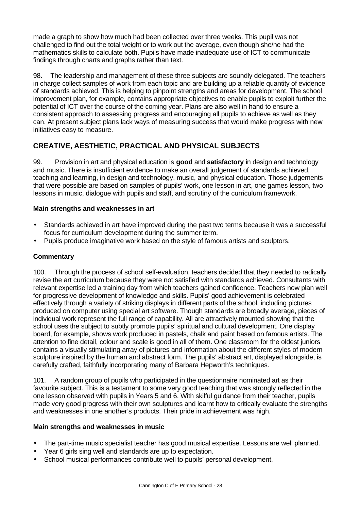made a graph to show how much had been collected over three weeks. This pupil was not challenged to find out the total weight or to work out the average, even though she/he had the mathematics skills to calculate both. Pupils have made inadequate use of ICT to communicate findings through charts and graphs rather than text.

98. The leadership and management of these three subjects are soundly delegated. The teachers in charge collect samples of work from each topic and are building up a reliable quantity of evidence of standards achieved. This is helping to pinpoint strengths and areas for development. The school improvement plan, for example, contains appropriate objectives to enable pupils to exploit further the potential of ICT over the course of the coming year. Plans are also well in hand to ensure a consistent approach to assessing progress and encouraging all pupils to achieve as well as they can. At present subject plans lack ways of measuring success that would make progress with new initiatives easy to measure.

## **CREATIVE, AESTHETIC, PRACTICAL AND PHYSICAL SUBJECTS**

99. Provision in art and physical education is **good** and **satisfactory** in design and technology and music. There is insufficient evidence to make an overall judgement of standards achieved, teaching and learning, in design and technology, music, and physical education. Those judgements that were possible are based on samples of pupils' work, one lesson in art, one games lesson, two lessons in music, dialogue with pupils and staff, and scrutiny of the curriculum framework.

## **Main strengths and weaknesses in art**

- Standards achieved in art have improved during the past two terms because it was a successful focus for curriculum development during the summer term.
- Pupils produce imaginative work based on the style of famous artists and sculptors.

### **Commentary**

100. Through the process of school self-evaluation, teachers decided that they needed to radically revise the art curriculum because they were not satisfied with standards achieved. Consultants with relevant expertise led a training day from which teachers gained confidence. Teachers now plan well for progressive development of knowledge and skills. Pupils' good achievement is celebrated effectively through a variety of striking displays in different parts of the school, including pictures produced on computer using special art software. Though standards are broadly average, pieces of individual work represent the full range of capability. All are attractively mounted showing that the school uses the subject to subtly promote pupils' spiritual and cultural development. One display board, for example, shows work produced in pastels, chalk and paint based on famous artists. The attention to fine detail, colour and scale is good in all of them. One classroom for the oldest juniors contains a visually stimulating array of pictures and information about the different styles of modern sculpture inspired by the human and abstract form. The pupils' abstract art, displayed alongside, is carefully crafted, faithfully incorporating many of Barbara Hepworth's techniques.

101. A random group of pupils who participated in the questionnaire nominated art as their favourite subject. This is a testament to some very good teaching that was strongly reflected in the one lesson observed with pupils in Years 5 and 6. With skilful guidance from their teacher, pupils made very good progress with their own sculptures and learnt how to critically evaluate the strengths and weaknesses in one another's products. Their pride in achievement was high.

#### **Main strengths and weaknesses in music**

- The part-time music specialist teacher has good musical expertise. Lessons are well planned.
- Year 6 girls sing well and standards are up to expectation.
- School musical performances contribute well to pupils' personal development.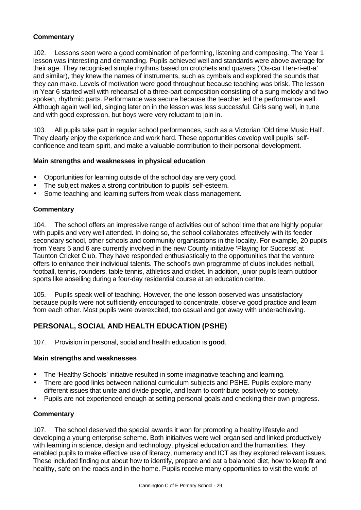### **Commentary**

102. Lessons seen were a good combination of performing, listening and composing. The Year 1 lesson was interesting and demanding. Pupils achieved well and standards were above average for their age. They recognised simple rhythms based on crotchets and quavers ('Os-car Hen-ri-ett-a' and similar), they knew the names of instruments, such as cymbals and explored the sounds that they can make. Levels of motivation were good throughout because teaching was brisk. The lesson in Year 6 started well with rehearsal of a three-part composition consisting of a sung melody and two spoken, rhythmic parts. Performance was secure because the teacher led the performance well. Although again well led, singing later on in the lesson was less successful. Girls sang well, in tune and with good expression, but boys were very reluctant to join in.

103. All pupils take part in regular school performances, such as a Victorian 'Old time Music Hall'. They clearly enjoy the experience and work hard. These opportunities develop well pupils' selfconfidence and team spirit, and make a valuable contribution to their personal development.

#### **Main strengths and weaknesses in physical education**

- Opportunities for learning outside of the school day are very good.
- The subject makes a strong contribution to pupils' self-esteem.
- Some teaching and learning suffers from weak class management.

#### **Commentary**

104. The school offers an impressive range of activities out of school time that are highly popular with pupils and very well attended. In doing so, the school collaborates effectively with its feeder secondary school, other schools and community organisations in the locality. For example, 20 pupils from Years 5 and 6 are currently involved in the new County initiative 'Playing for Success' at Taunton Cricket Club. They have responded enthusiastically to the opportunities that the venture offers to enhance their individual talents. The school's own programme of clubs includes netball, football, tennis, rounders, table tennis, athletics and cricket. In addition, junior pupils learn outdoor sports like abseiling during a four-day residential course at an education centre.

105. Pupils speak well of teaching. However, the one lesson observed was unsatisfactory because pupils were not sufficiently encouraged to concentrate, observe good practice and learn from each other. Most pupils were overexcited, too casual and got away with underachieving.

## **PERSONAL, SOCIAL AND HEALTH EDUCATION (PSHE)**

107. Provision in personal, social and health education is **good**.

#### **Main strengths and weaknesses**

- The 'Healthy Schools' initiative resulted in some imaginative teaching and learning.
- There are good links between national curriculum subjects and PSHE. Pupils explore many different issues that unite and divide people, and learn to contribute positively to society.
- Pupils are not experienced enough at setting personal goals and checking their own progress.

#### **Commentary**

107. The school deserved the special awards it won for promoting a healthy lifestyle and developing a young enterprise scheme. Both initiaitves were well organised and linked productively with learning in science, design and technology, physical education and the humanities. They enabled pupils to make effective use of literacy, numeracy and ICT as they explored relevant issues. These included finding out about how to identify, prepare and eat a balanced diet, how to keep fit and healthy, safe on the roads and in the home. Pupils receive many opportunities to visit the world of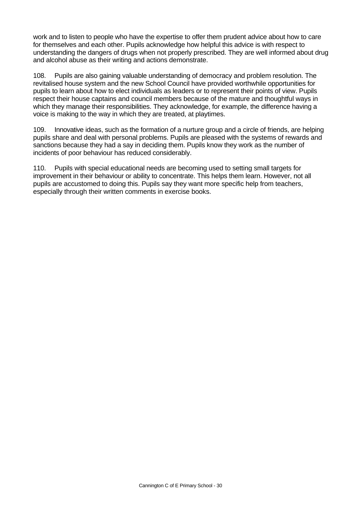work and to listen to people who have the expertise to offer them prudent advice about how to care for themselves and each other. Pupils acknowledge how helpful this advice is with respect to understanding the dangers of drugs when not properly prescribed. They are well informed about drug and alcohol abuse as their writing and actions demonstrate.

108. Pupils are also gaining valuable understanding of democracy and problem resolution. The revitalised house system and the new School Council have provided worthwhile opportunities for pupils to learn about how to elect individuals as leaders or to represent their points of view. Pupils respect their house captains and council members because of the mature and thoughtful ways in which they manage their responsibilities. They acknowledge, for example, the difference having a voice is making to the way in which they are treated, at playtimes.

109. Innovative ideas, such as the formation of a nurture group and a circle of friends, are helping pupils share and deal with personal problems. Pupils are pleased with the systems of rewards and sanctions because they had a say in deciding them. Pupils know they work as the number of incidents of poor behaviour has reduced considerably.

110. Pupils with special educational needs are becoming used to setting small targets for improvement in their behaviour or ability to concentrate. This helps them learn. However, not all pupils are accustomed to doing this. Pupils say they want more specific help from teachers, especially through their written comments in exercise books.